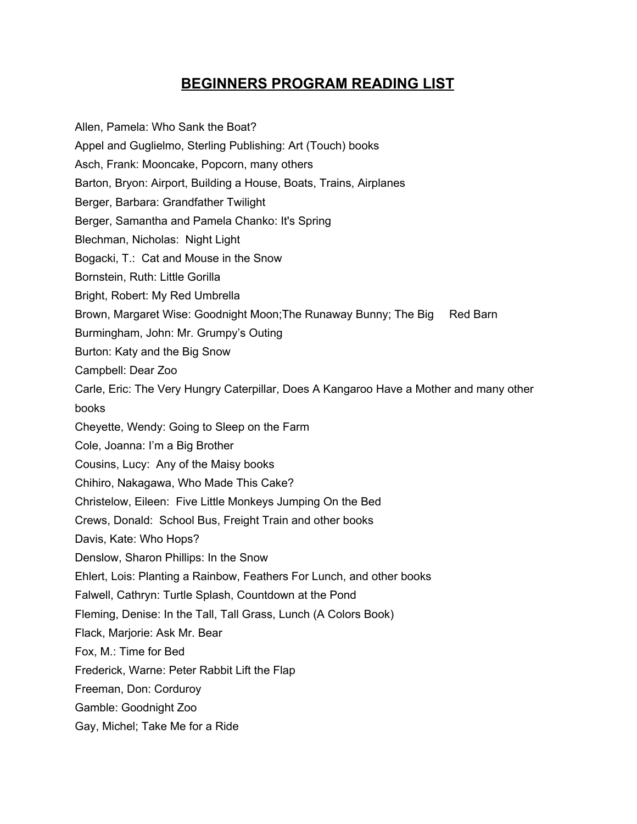## **BEGINNERS PROGRAM READING LIST**

Allen, Pamela: Who Sank the Boat? Appel and Guglielmo, Sterling Publishing: Art (Touch) books Asch, Frank: Mooncake, Popcorn, many others Barton, Bryon: Airport, Building a House, Boats, Trains, Airplanes Berger, Barbara: Grandfather Twilight Berger, Samantha and Pamela Chanko: It's Spring Blechman, Nicholas: Night Light Bogacki, T.: Cat and Mouse in the Snow Bornstein, Ruth: Little Gorilla Bright, Robert: My Red Umbrella Brown, Margaret Wise: Goodnight Moon; The Runaway Bunny; The Big Red Barn Burmingham, John: Mr. Grumpy's Outing Burton: Katy and the Big Snow Campbell: Dear Zoo Carle, Eric: The Very Hungry Caterpillar, Does A Kangaroo Have a Mother and many other books Cheyette, Wendy: Going to Sleep on the Farm Cole, Joanna: I'm a Big Brother Cousins, Lucy: Any of the Maisy books Chihiro, Nakagawa, Who Made This Cake? Christelow, Eileen: Five Little Monkeys Jumping On the Bed Crews, Donald: School Bus, Freight Train and other books Davis, Kate: Who Hops? Denslow, Sharon Phillips: In the Snow Ehlert, Lois: Planting a Rainbow, Feathers For Lunch, and other books Falwell, Cathryn: Turtle Splash, Countdown at the Pond Fleming, Denise: In the Tall, Tall Grass, Lunch (A Colors Book) Flack, Marjorie: Ask Mr. Bear Fox, M.: Time for Bed Frederick, Warne: Peter Rabbit Lift the Flap Freeman, Don: Corduroy Gamble: Goodnight Zoo Gay, Michel; Take Me for a Ride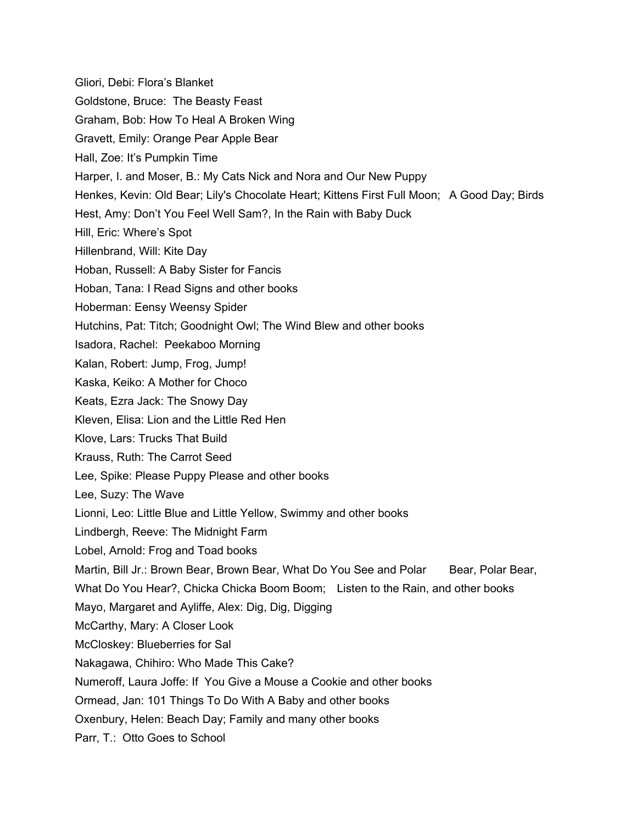Gliori, Debi: Flora's Blanket Goldstone, Bruce: The Beasty Feast Graham, Bob: How To Heal A Broken Wing Gravett, Emily: Orange Pear Apple Bear Hall, Zoe: It's Pumpkin Time Harper, I. and Moser, B.: My Cats Nick and Nora and Our New Puppy Henkes, Kevin: Old Bear; Lily's Chocolate Heart; Kittens First Full Moon; A Good Day; Birds Hest, Amy: Don't You Feel Well Sam?, In the Rain with Baby Duck Hill, Eric: Where's Spot Hillenbrand, Will: Kite Day Hoban, Russell: A Baby Sister for Fancis Hoban, Tana: I Read Signs and other books Hoberman: Eensy Weensy Spider Hutchins, Pat: Titch; Goodnight Owl; The Wind Blew and other books Isadora, Rachel: Peekaboo Morning Kalan, Robert: Jump, Frog, Jump! Kaska, Keiko: A Mother for Choco Keats, Ezra Jack: The Snowy Day Kleven, Elisa: Lion and the Little Red Hen Klove, Lars: Trucks That Build Krauss, Ruth: The Carrot Seed Lee, Spike: Please Puppy Please and other books Lee, Suzy: The Wave Lionni, Leo: Little Blue and Little Yellow, Swimmy and other books Lindbergh, Reeve: The Midnight Farm Lobel, Arnold: Frog and Toad books Martin, Bill Jr.: Brown Bear, Brown Bear, What Do You See and Polar Bear, Polar Bear, What Do You Hear?, Chicka Chicka Boom Boom; Listen to the Rain, and other books Mayo, Margaret and Ayliffe, Alex: Dig, Dig, Digging McCarthy, Mary: A Closer Look McCloskey: Blueberries for Sal Nakagawa, Chihiro: Who Made This Cake? Numeroff, Laura Joffe: If You Give a Mouse a Cookie and other books Ormead, Jan: 101 Things To Do With A Baby and other books Oxenbury, Helen: Beach Day; Family and many other books Parr, T.: Otto Goes to School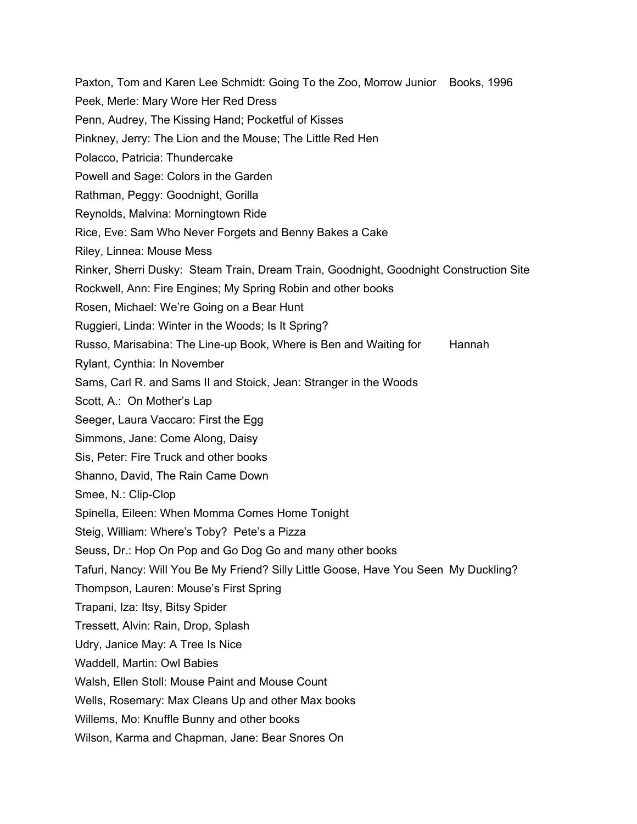Paxton, Tom and Karen Lee Schmidt: Going To the Zoo, Morrow Junior Books, 1996 Peek, Merle: Mary Wore Her Red Dress Penn, Audrey, The Kissing Hand; Pocketful of Kisses Pinkney, Jerry: The Lion and the Mouse; The Little Red Hen Polacco, Patricia: Thundercake Powell and Sage: Colors in the Garden Rathman, Peggy: Goodnight, Gorilla Reynolds, Malvina: Morningtown Ride Rice, Eve: Sam Who Never Forgets and Benny Bakes a Cake Riley, Linnea: Mouse Mess Rinker, Sherri Dusky: Steam Train, Dream Train, Goodnight, Goodnight Construction Site Rockwell, Ann: Fire Engines; My Spring Robin and other books Rosen, Michael: We're Going on a Bear Hunt Ruggieri, Linda: Winter in the Woods; Is It Spring? Russo, Marisabina: The Line-up Book, Where is Ben and Waiting for Hannah Rylant, Cynthia: In November Sams, Carl R. and Sams II and Stoick, Jean: Stranger in the Woods Scott, A.: On Mother's Lap Seeger, Laura Vaccaro: First the Egg Simmons, Jane: Come Along, Daisy Sis, Peter: Fire Truck and other books Shanno, David, The Rain Came Down Smee, N.: Clip-Clop Spinella, Eileen: When Momma Comes Home Tonight Steig, William: Where's Toby? Pete's a Pizza Seuss, Dr.: Hop On Pop and Go Dog Go and many other books Tafuri, Nancy: Will You Be My Friend? Silly Little Goose, Have You Seen My Duckling? Thompson, Lauren: Mouse's First Spring Trapani, Iza: Itsy, Bitsy Spider Tressett, Alvin: Rain, Drop, Splash Udry, Janice May: A Tree Is Nice Waddell, Martin: Owl Babies Walsh, Ellen Stoll: Mouse Paint and Mouse Count Wells, Rosemary: Max Cleans Up and other Max books Willems, Mo: Knuffle Bunny and other books Wilson, Karma and Chapman, Jane: Bear Snores On